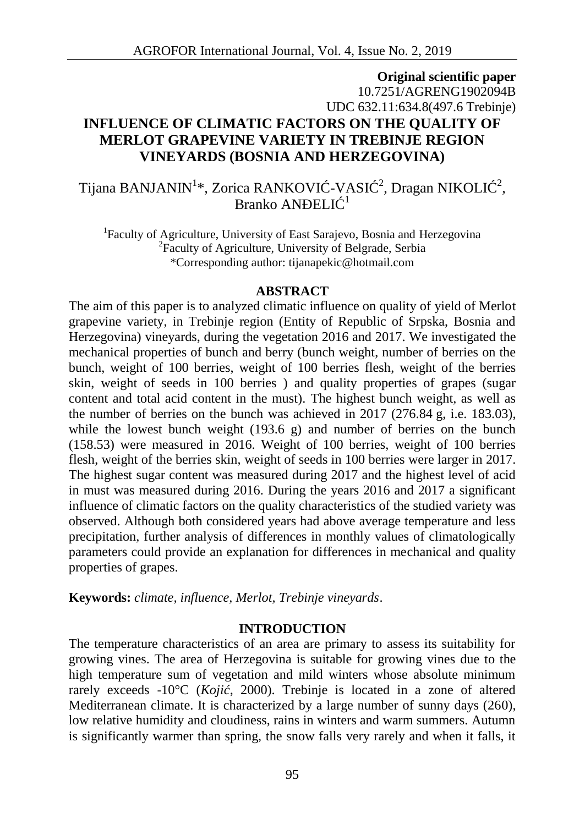# **Original scientific paper** 10.7251/AGRENG1902094B UDC 632.11:634.8(497.6 Trebinje) **INFLUENCE OF CLIMATIC FACTORS ON THE QUALITY OF MERLOT GRAPEVINE VARIETY IN TREBINJE REGION VINEYARDS (BOSNIA AND HERZEGOVINA)**

Tijana BANJANIN<sup>1</sup>\*, Zorica RANKOVI -VASI <sup>2</sup>, Dragan NIKOLI <sup>2</sup>, Branko AN $ELI^{-1}$ 

<sup>1</sup>Faculty of Agriculture, University of East Sarajevo, Bosnia and Herzegovina <sup>2</sup>Faculty of Agriculture, University of Belgrade, Serbia \*Corresponding author: tijanapekic@hotmail.com

#### **ABSTRACT**

The aim of this paper is to analyzed climatic influence on quality of yield of Merlot grapevine variety, in Trebinje region (Entity of Republic of Srpska, Bosnia and Herzegovina) vineyards, during the vegetation 2016 and 2017. We investigated the mechanical properties of bunch and berry (bunch weight, number of berries on the bunch, weight of 100 berries, weight of 100 berries flesh, weight of the berries skin, weight of seeds in 100 berries ) and quality properties of grapes (sugar content and total acid content in the must). The highest bunch weight, as well as the number of berries on the bunch was achieved in 2017 (276.84 g, i.e. 183.03), while the lowest bunch weight  $(193.6 \text{ g})$  and number of berries on the bunch (158.53) were measured in 2016. Weight of 100 berries, weight of 100 berries flesh, weight of the berries skin, weight of seeds in 100 berries were larger in 2017. The highest sugar content was measured during 2017 and the highest level of acid in must was measured during 2016. During the years 2016 and 2017 a significant influence of climatic factors on the quality characteristics of the studied variety was observed. Although both considered years had above average temperature and less precipitation, further analysis of differences in monthly values of climatologically parameters could provide an explanation for differences in mechanical and quality properties of grapes.

**Keywords:** *climate, influence, Merlot, Trebinje vineyards*.

# **INTRODUCTION**

The temperature characteristics of an area are primary to assess its suitability for growing vines. The area of Herzegovina is suitable for growing vines due to the high temperature sum of vegetation and mild winters whose absolute minimum rarely exceeds -10°C (Koji , 2000). Trebinje is located in a zone of altered Mediterranean climate. It is characterized by a large number of sunny days (260), low relative humidity and cloudiness, rains in winters and warm summers. Autumn is significantly warmer than spring, the snow falls very rarely and when it falls, it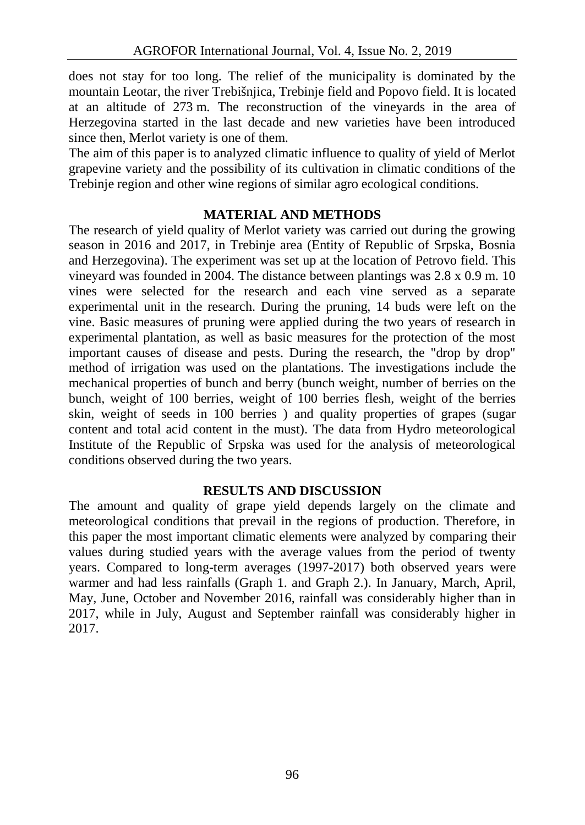does not stay for too long. The relief of the municipality is dominated by the mountain Leotar, the river Trebišnjica, Trebinje field and Popovo field. It is located at an altitude of 273 m. The reconstruction of the vineyards in the area of Herzegovina started in the last decade and new varieties have been introduced since then, Merlot variety is one of them.

The aim of this paper is to analyzed climatic influence to quality of yield of Merlot grapevine variety and the possibility of its cultivation in climatic conditions of the Trebinje region and other wine regions of similar agro ecological conditions.

## **MATERIAL AND METHODS**

The research of yield quality of Merlot variety was carried out during the growing season in 2016 and 2017, in Trebinje area (Entity of Republic of Srpska, Bosnia and Herzegovina). The experiment was set up at the location of Petrovo field. This vineyard was founded in 2004. The distance between plantings was 2.8 x 0.9 m. 10 vines were selected for the research and each vine served as a separate experimental unit in the research. During the pruning, 14 buds were left on the vine. Basic measures of pruning were applied during the two years of research in experimental plantation, as well as basic measures for the protection of the most important causes of disease and pests. During the research, the "drop by drop" method of irrigation was used on the plantations. The investigations include the mechanical properties of bunch and berry (bunch weight, number of berries on the bunch, weight of 100 berries, weight of 100 berries flesh, weight of the berries skin, weight of seeds in 100 berries ) and quality properties of grapes (sugar content and total acid content in the must). The data from Hydro meteorological Institute of the Republic of Srpska was used for the analysis of meteorological conditions observed during the two years.

#### **RESULTS AND DISCUSSION**

The amount and quality of grape yield depends largely on the climate and meteorological conditions that prevail in the regions of production. Therefore, in this paper the most important climatic elements were analyzed by comparing their values during studied years with the average values from the period of twenty years. Compared to long-term averages (1997-2017) both observed years were warmer and had less rainfalls (Graph 1. and Graph 2.). In January, March, April, May, June, October and November 2016, rainfall was considerably higher than in 2017, while in July, August and September rainfall was considerably higher in 2017.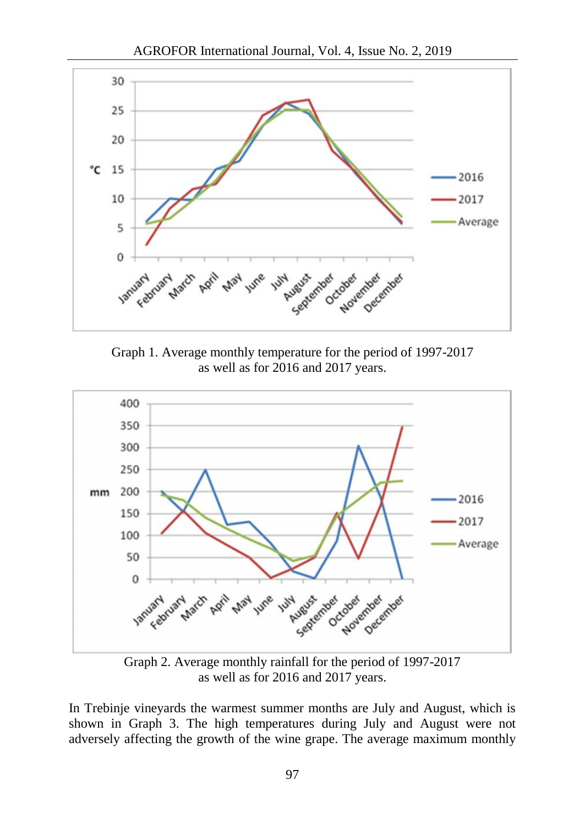



Graph 1. Average monthly temperature for the period of 1997-2017 as well as for 2016 and 2017 years.



Graph 2. Average monthly rainfall for the period of 1997-2017 as well as for 2016 and 2017 years.

In Trebinje vineyards the warmest summer months are July and August, which is shown in Graph 3. The high temperatures during July and August were not adversely affecting the growth of the wine grape. The average maximum monthly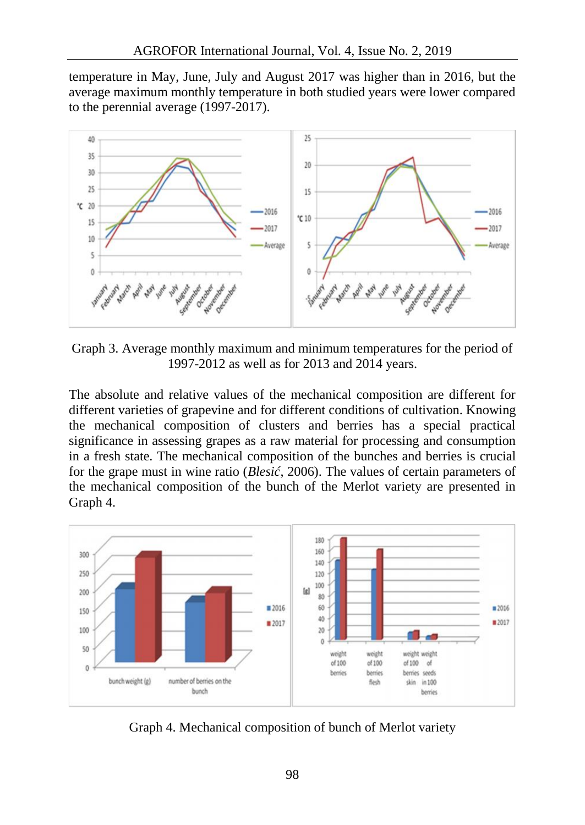temperature in May, June, July and August 2017 was higher than in 2016, but the average maximum monthly temperature in both studied years were lower compared to the perennial average (1997-2017).



Graph 3. Average monthly maximum and minimum temperatures for the period of 1997-2012 as well as for 2013 and 2014 years.

The absolute and relative values of the mechanical composition are different for different varieties of grapevine and for different conditions of cultivation. Knowing the mechanical composition of clusters and berries has a special practical significance in assessing grapes as a raw material for processing and consumption in a fresh state. The mechanical composition of the bunches and berries is crucial for the grape must in wine ratio (*Blesi*, 2006). The values of certain parameters of the mechanical composition of the bunch of the Merlot variety are presented in Graph 4.



Graph 4. Mechanical composition of bunch of Merlot variety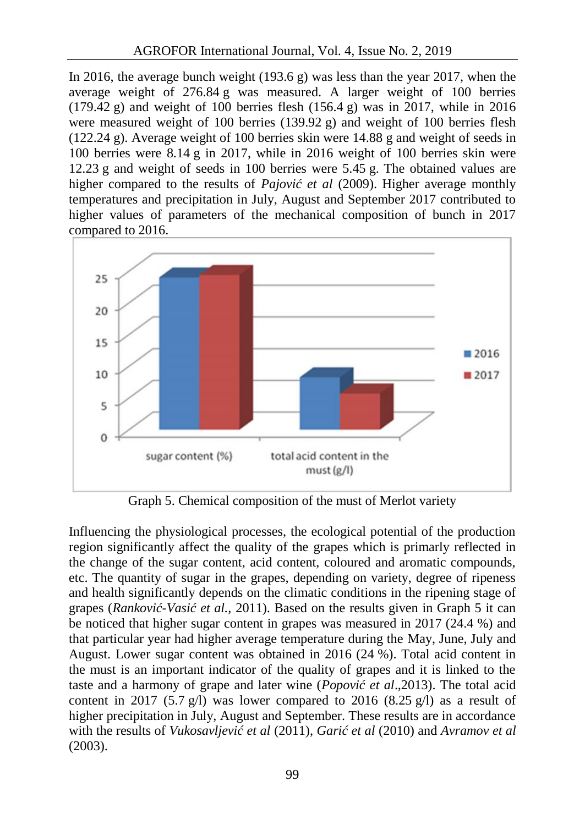In 2016, the average bunch weight (193.6 g) was less than the year 2017, when the average weight of 276.84 g was measured. A larger weight of 100 berries  $(179.42 \text{ g})$  and weight of 100 berries flesh  $(156.4 \text{ g})$  was in 2017, while in 2016 were measured weight of 100 berries (139.92 g) and weight of 100 berries flesh (122.24 g). Average weight of 100 berries skin were 14.88 g and weight of seeds in 100 berries were 8.14 g in 2017, while in 2016 weight of 100 berries skin were 12.23 g and weight of seeds in 100 berries were 5.45 g. The obtained values are higher compared to the results of *Pajovi et al (2009)*. Higher average monthly temperatures and precipitation in July, August and September 2017 contributed to higher values of parameters of the mechanical composition of bunch in 2017 compared to 2016.



Graph 5. Chemical composition of the must of Merlot variety

Influencing the physiological processes, the ecological potential of the production region significantly affect the quality of the grapes which is primarly reflected in the change of the sugar content, acid content, coloured and aromatic compounds, etc. The quantity of sugar in the grapes, depending on variety, degree of ripeness and health significantly depends on the climatic conditions in the ripening stage of grapes (*Rankovi -Vasi et al.*, 2011). Based on the results given in Graph 5 it can be noticed that higher sugar content in grapes was measured in 2017 (24.4 %) and that particular year had higher average temperature during the May, June, July and August. Lower sugar content was obtained in 2016 (24 %). Total acid content in the must is an important indicator of the quality of grapes and it is linked to the taste and a harmony of grape and later wine (*Popovi* et al.,2013). The total acid content in 2017 (5.7 g/l) was lower compared to 2016 (8.25 g/l) as a result of higher precipitation in July, August and September. These results are in accordance with the results of *Vukosavljevi* et al (2011), *Gari* et al (2010) and *Avramov et al* (2003).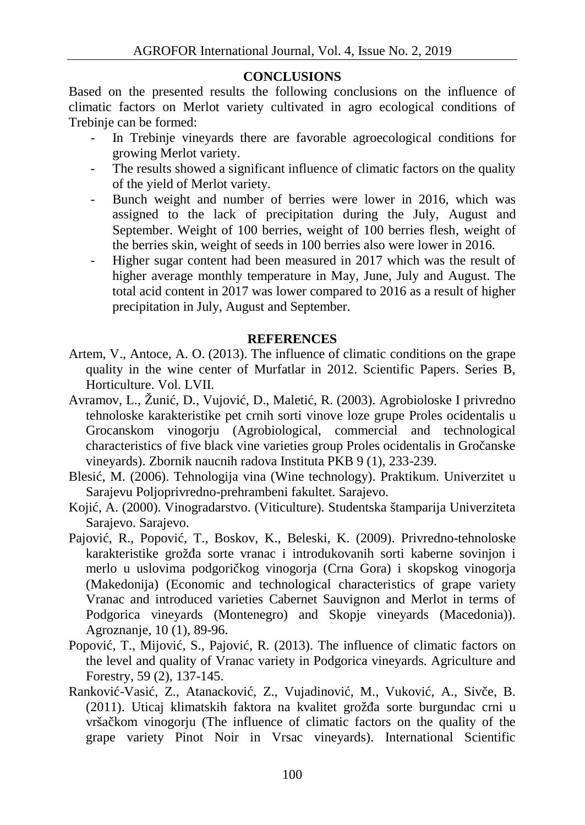## **CONCLUSIONS**

Based on the presented results the following conclusions on the influence of climatic factors on Merlot variety cultivated in agro ecological conditions of Trebinje can be formed:

- In Trebinje vineyards there are favorable agroecological conditions for growing Merlot variety.
- The results showed a significant influence of climatic factors on the quality of the yield of Merlot variety.
- Bunch weight and number of berries were lower in 2016, which was assigned to the lack of precipitation during the July, August and September. Weight of 100 berries, weight of 100 berries flesh, weight of the berries skin, weight of seeds in 100 berries also were lower in 2016.
- Higher sugar content had been measured in 2017 which was the result of higher average monthly temperature in May, June, July and August. The total acid content in 2017 was lower compared to 2016 as a result of higher precipitation in July, August and September.

# **REFERENCES**

- Artem, V., Antoce, A. O. (2013). The influence of climatic conditions on the grape quality in the wine center of Murfatlar in 2012. Scientific Papers. Series B, Horticulture. Vol. LVII.
- Avramov, L., Žuni, D., Vujovi, D., Maleti, R. (2003). Agrobioloske I privredno tehnoloske karakteristike pet crnih sorti vinove loze grupe Proles ocidentalis u Grocanskom vinogorju (Agrobiological, commercial and technological characteristics of five black vine varieties group Proles ocidentalis in Gro anske vineyards). Zbornik naucnih radova Instituta PKB 9 (1), 233-239.
- Blesi, (2006). Tehnologija vina (Wine technology). Praktikum. Univerzitet u Sarajevu Poljoprivredno-prehrambeni fakultet. Sarajevo.
- Koji, A. (2000). Vinogradarstvo. (Viticulture). Studentska štamparija Univerziteta Sarajevo. Sarajevo.
- Pajovi, R., Popovi, T., Boskov, K., Beleski, K. (2009). Privredno-tehnoloske karakteristike groža sorte vranac i introdukovanih sorti kaberne sovinjon i merlo u uslovima podgori kog vinogorja (Crna Gora) i skopskog vinogorja (Makedonija) (Economic and technological characteristics of grape variety Vranac and introduced varieties Cabernet Sauvignon and Merlot in terms of Podgorica vineyards (Montenegro) and Skopje vineyards (Macedonia)). Agroznanje, 10 (1), 89-96.
- Popovi, T., Mijovi, S., Pajovi, R. (2013). The influence of climatic factors on the level and quality of Vranac variety in Podgorica vineyards. Agriculture and Forestry, 59 (2), 137-145.
- Rankovi -Vasi, Z., Atanackovi, Z., Vujadinovi, M., Vukovi, A., Siv e, B. (2011). Uticaj klimatskih faktora na kvalitet grož a sorte burgundac crni u vrša kom vinogorju (The influence of climatic factors on the quality of the grape variety Pinot Noir in Vrsac vineyards). International Scientific